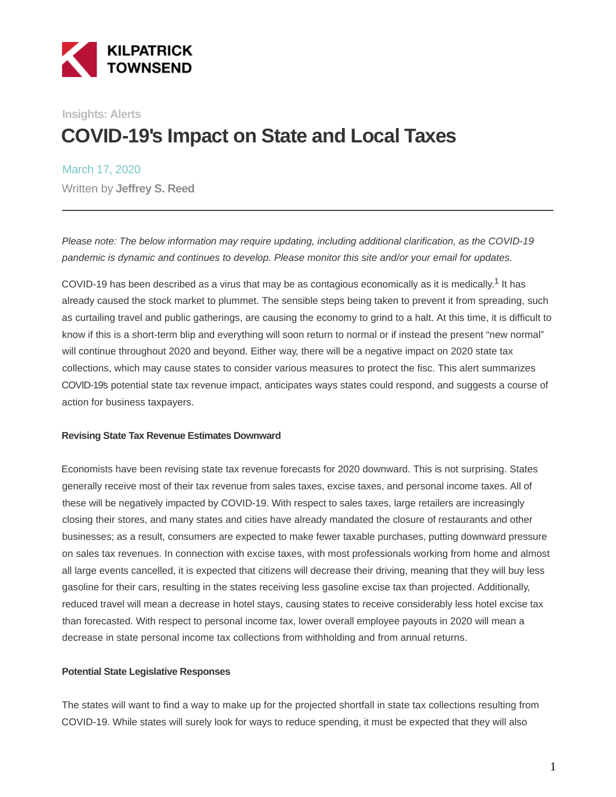

## **Insights: Alerts COVID-19's Impact on State and Local Taxes**

March 17, 2020 Written by **Jeffrey S. Reed**

Please note: The below information may require updating, including additional clarification, as the COVID-19 pandemic is dynamic and continues to develop. Please monitor this site and/or your email for updates.

COVID-19 has been described as a virus that may be as contagious economically as it is medically.<sup>1</sup> It has already caused the stock market to plummet. The sensible steps being taken to prevent it from spreading, such as curtailing travel and public gatherings, are causing the economy to grind to a halt. At this time, it is difficult to know if this is a short-term blip and everything will soon return to normal or if instead the present "new normal" will continue throughout 2020 and beyond. Either way, there will be a negative impact on 2020 state tax collections, which may cause states to consider various measures to protect the fisc. This alert summarizes COVID-19's potential state tax revenue impact, anticipates ways states could respond, and suggests a course of action for business taxpayers.

#### **Revising State Tax Revenue Estimates Downward**

Economists have been revising state tax revenue forecasts for 2020 downward. This is not surprising. States generally receive most of their tax revenue from sales taxes, excise taxes, and personal income taxes. All of these will be negatively impacted by COVID-19. With respect to sales taxes, large retailers are increasingly closing their stores, and many states and cities have already mandated the closure of restaurants and other businesses; as a result, consumers are expected to make fewer taxable purchases, putting downward pressure on sales tax revenues. In connection with excise taxes, with most professionals working from home and almost all large events cancelled, it is expected that citizens will decrease their driving, meaning that they will buy less gasoline for their cars, resulting in the states receiving less gasoline excise tax than projected. Additionally, reduced travel will mean a decrease in hotel stays, causing states to receive considerably less hotel excise tax than forecasted. With respect to personal income tax, lower overall employee payouts in 2020 will mean a decrease in state personal income tax collections from withholding and from annual returns.

#### **Potential State Legislative Responses**

The states will want to find a way to make up for the projected shortfall in state tax collections resulting from COVID-19. While states will surely look for ways to reduce spending, it must be expected that they will also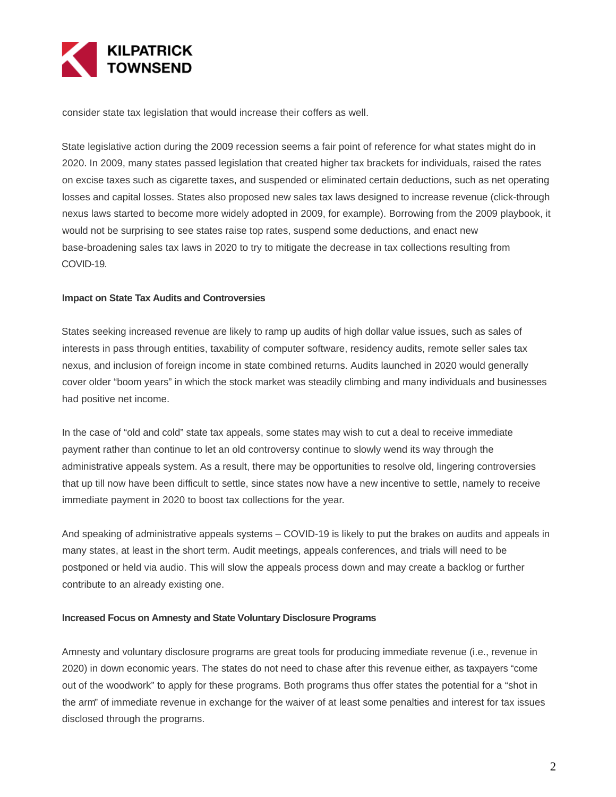

consider state tax legislation that would increase their coffers as well.

State legislative action during the 2009 recession seems a fair point of reference for what states might do in 2020. In 2009, many states passed legislation that created higher tax brackets for individuals, raised the rates on excise taxes such as cigarette taxes, and suspended or eliminated certain deductions, such as net operating losses and capital losses. States also proposed new sales tax laws designed to increase revenue (click-through nexus laws started to become more widely adopted in 2009, for example). Borrowing from the 2009 playbook, it would not be surprising to see states raise top rates, suspend some deductions, and enact new base-broadening sales tax laws in 2020 to try to mitigate the decrease in tax collections resulting from COVID-19.

#### **Impact on State Tax Audits and Controversies**

States seeking increased revenue are likely to ramp up audits of high dollar value issues, such as sales of interests in pass through entities, taxability of computer software, residency audits, remote seller sales tax nexus, and inclusion of foreign income in state combined returns. Audits launched in 2020 would generally cover older "boom years" in which the stock market was steadily climbing and many individuals and businesses had positive net income.

In the case of "old and cold" state tax appeals, some states may wish to cut a deal to receive immediate payment rather than continue to let an old controversy continue to slowly wend its way through the administrative appeals system. As a result, there may be opportunities to resolve old, lingering controversies that up till now have been difficult to settle, since states now have a new incentive to settle, namely to receive immediate payment in 2020 to boost tax collections for the year.

And speaking of administrative appeals systems – COVID-19 is likely to put the brakes on audits and appeals in many states, at least in the short term. Audit meetings, appeals conferences, and trials will need to be postponed or held via audio. This will slow the appeals process down and may create a backlog or further contribute to an already existing one.

#### **Increased Focus on Amnesty and State Voluntary Disclosure Programs**

Amnesty and voluntary disclosure programs are great tools for producing immediate revenue (i.e., revenue in 2020) in down economic years. The states do not need to chase after this revenue either, as taxpayers "come out of the woodwork" to apply for these programs. Both programs thus offer states the potential for a "shot in the arm" of immediate revenue in exchange for the waiver of at least some penalties and interest for tax issues disclosed through the programs.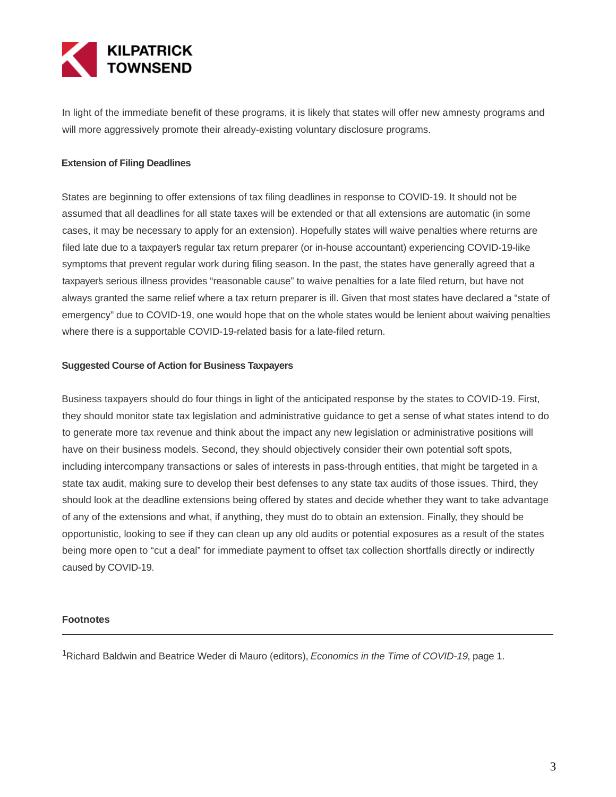

In light of the immediate benefit of these programs, it is likely that states will offer new amnesty programs and will more aggressively promote their already-existing voluntary disclosure programs.

#### **Extension of Filing Deadlines**

States are beginning to offer extensions of tax filing deadlines in response to COVID-19. It should not be assumed that all deadlines for all state taxes will be extended or that all extensions are automatic (in some cases, it may be necessary to apply for an extension). Hopefully states will waive penalties where returns are filed late due to a taxpayer's regular tax return preparer (or in-house accountant) experiencing COVID-19-like symptoms that prevent regular work during filing season. In the past, the states have generally agreed that a taxpayer's serious illness provides "reasonable cause" to waive penalties for a late filed return, but have not always granted the same relief where a tax return preparer is ill. Given that most states have declared a "state of emergency" due to COVID-19, one would hope that on the whole states would be lenient about waiving penalties where there is a supportable COVID-19-related basis for a late-filed return.

#### **Suggested Course of Action for Business Taxpayers**

Business taxpayers should do four things in light of the anticipated response by the states to COVID-19. First, they should monitor state tax legislation and administrative guidance to get a sense of what states intend to do to generate more tax revenue and think about the impact any new legislation or administrative positions will have on their business models. Second, they should objectively consider their own potential soft spots, including intercompany transactions or sales of interests in pass-through entities, that might be targeted in a state tax audit, making sure to develop their best defenses to any state tax audits of those issues. Third, they should look at the deadline extensions being offered by states and decide whether they want to take advantage of any of the extensions and what, if anything, they must do to obtain an extension. Finally, they should be opportunistic, looking to see if they can clean up any old audits or potential exposures as a result of the states being more open to "cut a deal" for immediate payment to offset tax collection shortfalls directly or indirectly caused by COVID-19.

#### **Footnotes**

<sup>1</sup>Richard Baldwin and Beatrice Weder di Mauro (editors), Economics in the Time of COVID-19, page 1.